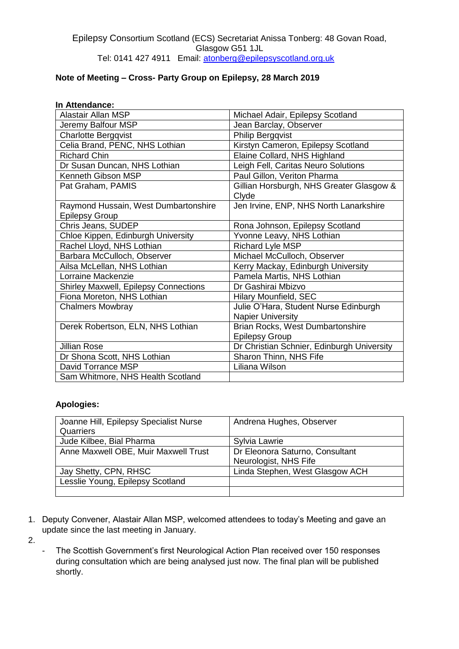## **Note of Meeting – Cross- Party Group on Epilepsy, 28 March 2019**

## **In Attendance:**

| <b>Alastair Allan MSP</b>                    | Michael Adair, Epilepsy Scotland           |
|----------------------------------------------|--------------------------------------------|
| Jeremy Balfour MSP                           | Jean Barclay, Observer                     |
| <b>Charlotte Bergqvist</b>                   | <b>Philip Bergqvist</b>                    |
| Celia Brand, PENC, NHS Lothian               | Kirstyn Cameron, Epilepsy Scotland         |
| <b>Richard Chin</b>                          | Elaine Collard, NHS Highland               |
| Dr Susan Duncan, NHS Lothian                 | Leigh Fell, Caritas Neuro Solutions        |
| Kenneth Gibson MSP                           | Paul Gillon, Veriton Pharma                |
| Pat Graham, PAMIS                            | Gillian Horsburgh, NHS Greater Glasgow &   |
|                                              | Clyde                                      |
| Raymond Hussain, West Dumbartonshire         | Jen Irvine, ENP, NHS North Lanarkshire     |
| <b>Epilepsy Group</b>                        |                                            |
| Chris Jeans, SUDEP                           | Rona Johnson, Epilepsy Scotland            |
| Chloe Kippen, Edinburgh University           | Yvonne Leavy, NHS Lothian                  |
| Rachel Lloyd, NHS Lothian                    | <b>Richard Lyle MSP</b>                    |
| Barbara McCulloch, Observer                  | Michael McCulloch, Observer                |
| Ailsa McLellan, NHS Lothian                  | Kerry Mackay, Edinburgh University         |
| Lorraine Mackenzie                           | Pamela Martis, NHS Lothian                 |
| <b>Shirley Maxwell, Epilepsy Connections</b> | Dr Gashirai Mbizvo                         |
| Fiona Moreton, NHS Lothian                   | <b>Hilary Mounfield, SEC</b>               |
| <b>Chalmers Mowbray</b>                      | Julie O'Hara, Student Nurse Edinburgh      |
|                                              | <b>Napier University</b>                   |
| Derek Robertson, ELN, NHS Lothian            | Brian Rocks, West Dumbartonshire           |
|                                              | <b>Epilepsy Group</b>                      |
| <b>Jillian Rose</b>                          | Dr Christian Schnier, Edinburgh University |
| Dr Shona Scott, NHS Lothian                  | Sharon Thinn, NHS Fife                     |
| David Torrance MSP                           | Liliana Wilson                             |
| Sam Whitmore, NHS Health Scotland            |                                            |

## **Apologies:**

| Joanne Hill, Epilepsy Specialist Nurse<br>Quarriers | Andrena Hughes, Observer                                 |
|-----------------------------------------------------|----------------------------------------------------------|
| Jude Kilbee, Bial Pharma                            | Sylvia Lawrie                                            |
| Anne Maxwell OBE, Muir Maxwell Trust                | Dr Eleonora Saturno, Consultant<br>Neurologist, NHS Fife |
| Jay Shetty, CPN, RHSC                               | Linda Stephen, West Glasgow ACH                          |
| Lesslie Young, Epilepsy Scotland                    |                                                          |
|                                                     |                                                          |

1. Deputy Convener, Alastair Allan MSP, welcomed attendees to today's Meeting and gave an update since the last meeting in January.

2.

- The Scottish Government's first Neurological Action Plan received over 150 responses during consultation which are being analysed just now. The final plan will be published shortly.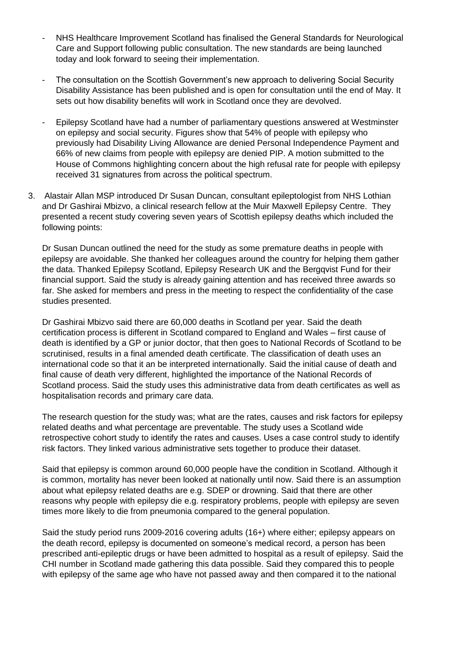- NHS Healthcare Improvement Scotland has finalised the General Standards for Neurological Care and Support following public consultation. The new standards are being launched today and look forward to seeing their implementation.
- The consultation on the Scottish Government's new approach to delivering Social Security Disability Assistance has been published and is open for consultation until the end of May. It sets out how disability benefits will work in Scotland once they are devolved.
- Epilepsy Scotland have had a number of parliamentary questions answered at Westminster on epilepsy and social security. Figures show that 54% of people with epilepsy who previously had Disability Living Allowance are denied Personal Independence Payment and 66% of new claims from people with epilepsy are denied PIP. A motion submitted to the House of Commons highlighting concern about the high refusal rate for people with epilepsy received 31 signatures from across the political spectrum.
- 3. Alastair Allan MSP introduced Dr Susan Duncan, consultant epileptologist from NHS Lothian and Dr Gashirai Mbizvo, a clinical research fellow at the Muir Maxwell Epilepsy Centre. They presented a recent study covering seven years of Scottish epilepsy deaths which included the following points:

Dr Susan Duncan outlined the need for the study as some premature deaths in people with epilepsy are avoidable. She thanked her colleagues around the country for helping them gather the data. Thanked Epilepsy Scotland, Epilepsy Research UK and the Bergqvist Fund for their financial support. Said the study is already gaining attention and has received three awards so far. She asked for members and press in the meeting to respect the confidentiality of the case studies presented.

Dr Gashirai Mbizvo said there are 60,000 deaths in Scotland per year. Said the death certification process is different in Scotland compared to England and Wales – first cause of death is identified by a GP or junior doctor, that then goes to National Records of Scotland to be scrutinised, results in a final amended death certificate. The classification of death uses an international code so that it an be interpreted internationally. Said the initial cause of death and final cause of death very different, highlighted the importance of the National Records of Scotland process. Said the study uses this administrative data from death certificates as well as hospitalisation records and primary care data.

The research question for the study was; what are the rates, causes and risk factors for epilepsy related deaths and what percentage are preventable. The study uses a Scotland wide retrospective cohort study to identify the rates and causes. Uses a case control study to identify risk factors. They linked various administrative sets together to produce their dataset.

Said that epilepsy is common around 60,000 people have the condition in Scotland. Although it is common, mortality has never been looked at nationally until now. Said there is an assumption about what epilepsy related deaths are e.g. SDEP or drowning. Said that there are other reasons why people with epilepsy die e.g. respiratory problems, people with epilepsy are seven times more likely to die from pneumonia compared to the general population.

Said the study period runs 2009-2016 covering adults (16+) where either; epilepsy appears on the death record, epilepsy is documented on someone's medical record, a person has been prescribed anti-epileptic drugs or have been admitted to hospital as a result of epilepsy. Said the CHI number in Scotland made gathering this data possible. Said they compared this to people with epilepsy of the same age who have not passed away and then compared it to the national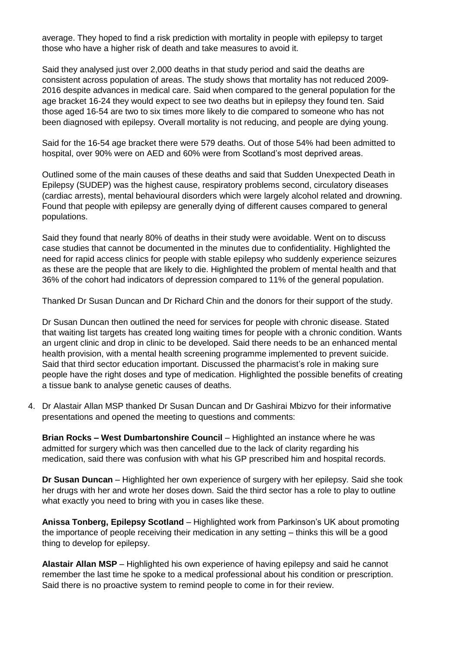average. They hoped to find a risk prediction with mortality in people with epilepsy to target those who have a higher risk of death and take measures to avoid it.

Said they analysed just over 2,000 deaths in that study period and said the deaths are consistent across population of areas. The study shows that mortality has not reduced 2009- 2016 despite advances in medical care. Said when compared to the general population for the age bracket 16-24 they would expect to see two deaths but in epilepsy they found ten. Said those aged 16-54 are two to six times more likely to die compared to someone who has not been diagnosed with epilepsy. Overall mortality is not reducing, and people are dying young.

Said for the 16-54 age bracket there were 579 deaths. Out of those 54% had been admitted to hospital, over 90% were on AED and 60% were from Scotland's most deprived areas.

Outlined some of the main causes of these deaths and said that Sudden Unexpected Death in Epilepsy (SUDEP) was the highest cause, respiratory problems second, circulatory diseases (cardiac arrests), mental behavioural disorders which were largely alcohol related and drowning. Found that people with epilepsy are generally dying of different causes compared to general populations.

Said they found that nearly 80% of deaths in their study were avoidable. Went on to discuss case studies that cannot be documented in the minutes due to confidentiality. Highlighted the need for rapid access clinics for people with stable epilepsy who suddenly experience seizures as these are the people that are likely to die. Highlighted the problem of mental health and that 36% of the cohort had indicators of depression compared to 11% of the general population.

Thanked Dr Susan Duncan and Dr Richard Chin and the donors for their support of the study.

Dr Susan Duncan then outlined the need for services for people with chronic disease. Stated that waiting list targets has created long waiting times for people with a chronic condition. Wants an urgent clinic and drop in clinic to be developed. Said there needs to be an enhanced mental health provision, with a mental health screening programme implemented to prevent suicide. Said that third sector education important. Discussed the pharmacist's role in making sure people have the right doses and type of medication. Highlighted the possible benefits of creating a tissue bank to analyse genetic causes of deaths.

4. Dr Alastair Allan MSP thanked Dr Susan Duncan and Dr Gashirai Mbizvo for their informative presentations and opened the meeting to questions and comments:

**Brian Rocks – West Dumbartonshire Council** – Highlighted an instance where he was admitted for surgery which was then cancelled due to the lack of clarity regarding his medication, said there was confusion with what his GP prescribed him and hospital records.

**Dr Susan Duncan** – Highlighted her own experience of surgery with her epilepsy. Said she took her drugs with her and wrote her doses down. Said the third sector has a role to play to outline what exactly you need to bring with you in cases like these.

**Anissa Tonberg, Epilepsy Scotland** – Highlighted work from Parkinson's UK about promoting the importance of people receiving their medication in any setting – thinks this will be a good thing to develop for epilepsy.

**Alastair Allan MSP** – Highlighted his own experience of having epilepsy and said he cannot remember the last time he spoke to a medical professional about his condition or prescription. Said there is no proactive system to remind people to come in for their review.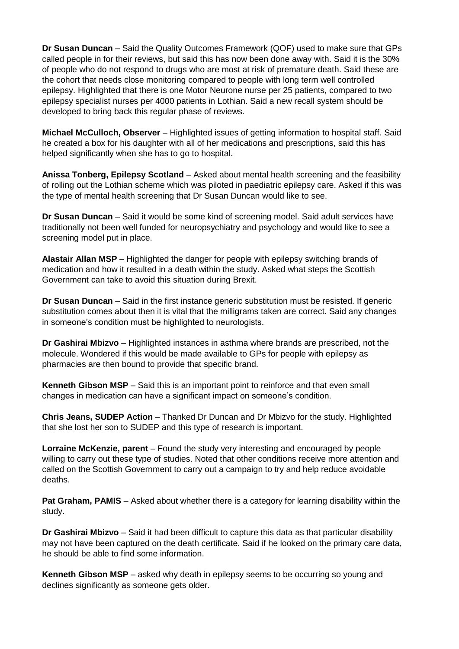**Dr Susan Duncan** – Said the Quality Outcomes Framework (QOF) used to make sure that GPs called people in for their reviews, but said this has now been done away with. Said it is the 30% of people who do not respond to drugs who are most at risk of premature death. Said these are the cohort that needs close monitoring compared to people with long term well controlled epilepsy. Highlighted that there is one Motor Neurone nurse per 25 patients, compared to two epilepsy specialist nurses per 4000 patients in Lothian. Said a new recall system should be developed to bring back this regular phase of reviews.

**Michael McCulloch, Observer** – Highlighted issues of getting information to hospital staff. Said he created a box for his daughter with all of her medications and prescriptions, said this has helped significantly when she has to go to hospital.

**Anissa Tonberg, Epilepsy Scotland** – Asked about mental health screening and the feasibility of rolling out the Lothian scheme which was piloted in paediatric epilepsy care. Asked if this was the type of mental health screening that Dr Susan Duncan would like to see.

**Dr Susan Duncan** – Said it would be some kind of screening model. Said adult services have traditionally not been well funded for neuropsychiatry and psychology and would like to see a screening model put in place.

**Alastair Allan MSP** – Highlighted the danger for people with epilepsy switching brands of medication and how it resulted in a death within the study. Asked what steps the Scottish Government can take to avoid this situation during Brexit.

**Dr Susan Duncan** – Said in the first instance generic substitution must be resisted. If generic substitution comes about then it is vital that the milligrams taken are correct. Said any changes in someone's condition must be highlighted to neurologists.

**Dr Gashirai Mbizvo** – Highlighted instances in asthma where brands are prescribed, not the molecule. Wondered if this would be made available to GPs for people with epilepsy as pharmacies are then bound to provide that specific brand.

**Kenneth Gibson MSP** – Said this is an important point to reinforce and that even small changes in medication can have a significant impact on someone's condition.

**Chris Jeans, SUDEP Action** – Thanked Dr Duncan and Dr Mbizvo for the study. Highlighted that she lost her son to SUDEP and this type of research is important.

**Lorraine McKenzie, parent** – Found the study very interesting and encouraged by people willing to carry out these type of studies. Noted that other conditions receive more attention and called on the Scottish Government to carry out a campaign to try and help reduce avoidable deaths.

**Pat Graham, PAMIS** – Asked about whether there is a category for learning disability within the study.

**Dr Gashirai Mbizvo** – Said it had been difficult to capture this data as that particular disability may not have been captured on the death certificate. Said if he looked on the primary care data, he should be able to find some information.

**Kenneth Gibson MSP** – asked why death in epilepsy seems to be occurring so young and declines significantly as someone gets older.